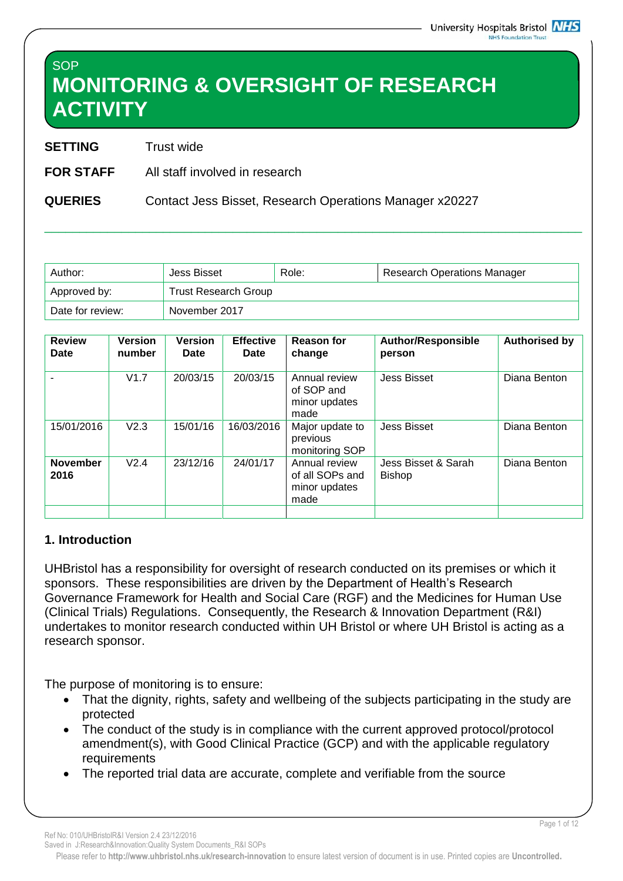# **SOP MONITORING & OVERSIGHT OF RESEARCH ACTIVITY**

**SETTING** Trust wide

**FOR STAFF** All staff involved in research

**QUERIES** Contact Jess Bisset, Research Operations Manager x20227

| Author:          | Jess Bisset                 | Role: | <b>Research Operations Manager</b> |  |
|------------------|-----------------------------|-------|------------------------------------|--|
| Approved by:     | <b>Trust Research Group</b> |       |                                    |  |
| Date for review: | November 2017               |       |                                    |  |

\_\_\_\_\_\_\_\_\_\_\_\_\_\_\_\_\_\_\_\_\_\_\_\_\_\_\_\_\_\_\_\_\_\_\_\_\_\_\_\_\_\_\_\_\_\_\_\_\_\_\_\_\_\_\_\_\_\_\_\_\_\_\_\_\_\_\_\_\_\_\_\_\_\_\_\_\_

| <b>Review</b><br>Date   | <b>Version</b><br>number | <b>Version</b><br>Date | <b>Effective</b><br>Date | <b>Reason for</b><br>change                               | <b>Author/Responsible</b><br>person  | <b>Authorised by</b> |
|-------------------------|--------------------------|------------------------|--------------------------|-----------------------------------------------------------|--------------------------------------|----------------------|
|                         | V1.7                     | 20/03/15               | 20/03/15                 | Annual review<br>of SOP and<br>minor updates<br>made      | <b>Jess Bisset</b>                   | Diana Benton         |
| 15/01/2016              | V <sub>2.3</sub>         | 15/01/16               | 16/03/2016               | Major update to<br>previous<br>monitoring SOP             | <b>Jess Bisset</b>                   | Diana Benton         |
| <b>November</b><br>2016 | V2.4                     | 23/12/16               | 24/01/17                 | Annual review<br>of all SOPs and<br>minor updates<br>made | Jess Bisset & Sarah<br><b>Bishop</b> | Diana Benton         |
|                         |                          |                        |                          |                                                           |                                      |                      |

#### **1. Introduction**

UHBristol has a responsibility for oversight of research conducted on its premises or which it sponsors. These responsibilities are driven by the Department of Health's Research Governance Framework for Health and Social Care (RGF) and the Medicines for Human Use (Clinical Trials) Regulations. Consequently, the Research & Innovation Department (R&I) undertakes to monitor research conducted within UH Bristol or where UH Bristol is acting as a research sponsor.

The purpose of monitoring is to ensure:

- That the dignity, rights, safety and wellbeing of the subjects participating in the study are protected
- The conduct of the study is in compliance with the current approved protocol/protocol amendment(s), with Good Clinical Practice (GCP) and with the applicable regulatory requirements
- The reported trial data are accurate, complete and verifiable from the source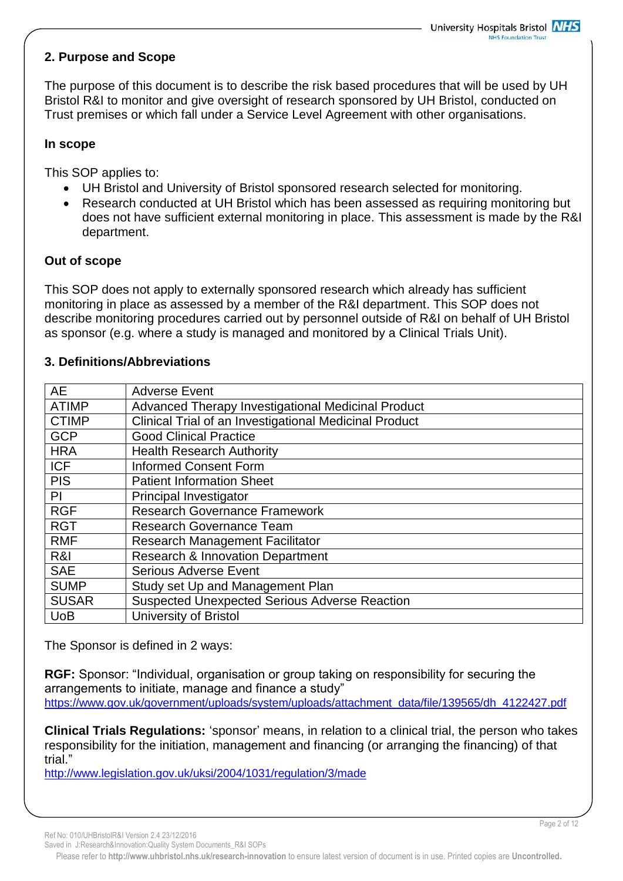## **2. Purpose and Scope**

The purpose of this document is to describe the risk based procedures that will be used by UH Bristol R&I to monitor and give oversight of research sponsored by UH Bristol, conducted on Trust premises or which fall under a Service Level Agreement with other organisations.

#### **In scope**

This SOP applies to:

- UH Bristol and University of Bristol sponsored research selected for monitoring.
- Research conducted at UH Bristol which has been assessed as requiring monitoring but does not have sufficient external monitoring in place. This assessment is made by the R&I department.

#### **Out of scope**

This SOP does not apply to externally sponsored research which already has sufficient monitoring in place as assessed by a member of the R&I department. This SOP does not describe monitoring procedures carried out by personnel outside of R&I on behalf of UH Bristol as sponsor (e.g. where a study is managed and monitored by a Clinical Trials Unit).

#### **3. Definitions/Abbreviations**

| <b>AE</b>    | <b>Adverse Event</b>                                   |
|--------------|--------------------------------------------------------|
| <b>ATIMP</b> | Advanced Therapy Investigational Medicinal Product     |
| <b>CTIMP</b> | Clinical Trial of an Investigational Medicinal Product |
| <b>GCP</b>   | <b>Good Clinical Practice</b>                          |
| <b>HRA</b>   | <b>Health Research Authority</b>                       |
| <b>ICF</b>   | <b>Informed Consent Form</b>                           |
| <b>PIS</b>   | <b>Patient Information Sheet</b>                       |
| PI           | <b>Principal Investigator</b>                          |
| <b>RGF</b>   | <b>Research Governance Framework</b>                   |
| <b>RGT</b>   | <b>Research Governance Team</b>                        |
| <b>RMF</b>   | <b>Research Management Facilitator</b>                 |
| R&I          | <b>Research &amp; Innovation Department</b>            |
| <b>SAE</b>   | <b>Serious Adverse Event</b>                           |
| <b>SUMP</b>  | Study set Up and Management Plan                       |
| <b>SUSAR</b> | <b>Suspected Unexpected Serious Adverse Reaction</b>   |
| <b>UoB</b>   | <b>University of Bristol</b>                           |

The Sponsor is defined in 2 ways:

**RGF:** Sponsor: "Individual, organisation or group taking on responsibility for securing the arrangements to initiate, manage and finance a study" [https://www.gov.uk/government/uploads/system/uploads/attachment\\_data/file/139565/dh\\_4122427.pdf](https://www.gov.uk/government/uploads/system/uploads/attachment_data/file/139565/dh_4122427.pdf)

**Clinical Trials Regulations:** 'sponsor' means, in relation to a clinical trial, the person who takes responsibility for the initiation, management and financing (or arranging the financing) of that trial."

<http://www.legislation.gov.uk/uksi/2004/1031/regulation/3/made>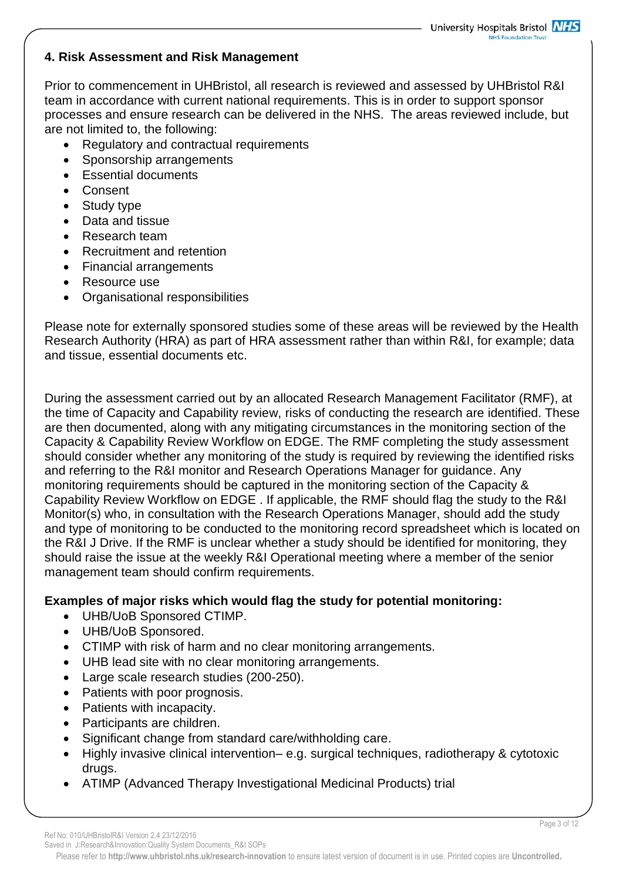#### **4. Risk Assessment and Risk Management**

Prior to commencement in UHBristol, all research is reviewed and assessed by UHBristol R&I team in accordance with current national requirements. This is in order to support sponsor processes and ensure research can be delivered in the NHS. The areas reviewed include, but are not limited to, the following:

- Regulatory and contractual requirements
- Sponsorship arrangements
- Essential documents
- Consent
- Study type
- Data and tissue
- Research team
- Recruitment and retention
- Financial arrangements
- Resource use
- Organisational responsibilities

Please note for externally sponsored studies some of these areas will be reviewed by the Health Research Authority (HRA) as part of HRA assessment rather than within R&I, for example; data and tissue, essential documents etc.

During the assessment carried out by an allocated Research Management Facilitator (RMF), at the time of Capacity and Capability review, risks of conducting the research are identified. These are then documented, along with any mitigating circumstances in the monitoring section of the Capacity & Capability Review Workflow on EDGE. The RMF completing the study assessment should consider whether any monitoring of the study is required by reviewing the identified risks and referring to the R&I monitor and Research Operations Manager for guidance. Any monitoring requirements should be captured in the monitoring section of the Capacity & Capability Review Workflow on EDGE . If applicable, the RMF should flag the study to the R&I Monitor(s) who, in consultation with the Research Operations Manager, should add the study and type of monitoring to be conducted to the monitoring record spreadsheet which is located on the R&I J Drive. If the RMF is unclear whether a study should be identified for monitoring, they should raise the issue at the weekly R&I Operational meeting where a member of the senior management team should confirm requirements.

# **Examples of major risks which would flag the study for potential monitoring:**

- UHB/UoB Sponsored CTIMP.
- UHB/UoB Sponsored.
- CTIMP with risk of harm and no clear monitoring arrangements.
- UHB lead site with no clear monitoring arrangements.
- Large scale research studies (200-250).
- Patients with poor prognosis.
- Patients with incapacity.
- Participants are children.
- Significant change from standard care/withholding care.
- Highly invasive clinical intervention– e.g. surgical techniques, radiotherapy & cytotoxic drugs.
- ATIMP (Advanced Therapy Investigational Medicinal Products) trial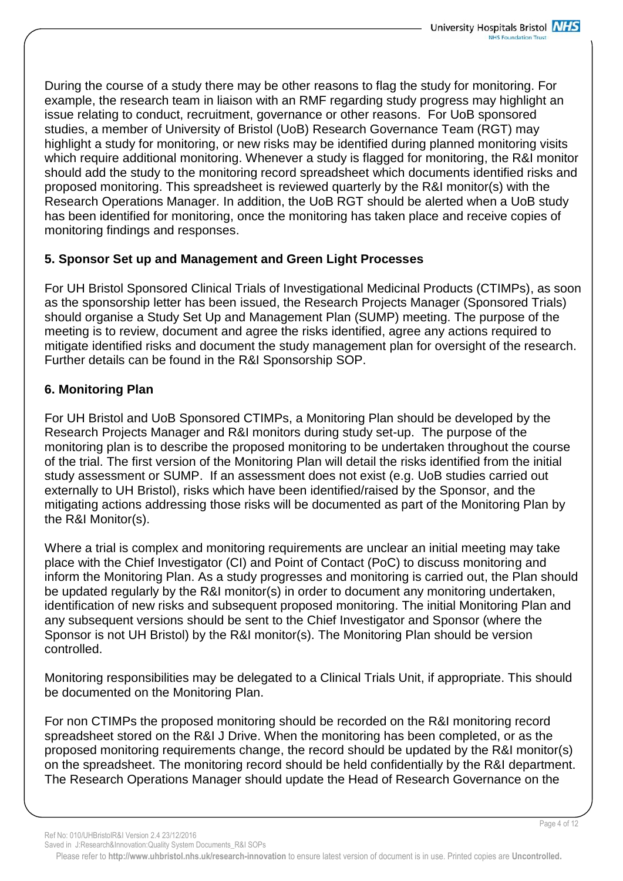During the course of a study there may be other reasons to flag the study for monitoring. For example, the research team in liaison with an RMF regarding study progress may highlight an issue relating to conduct, recruitment, governance or other reasons. For UoB sponsored studies, a member of University of Bristol (UoB) Research Governance Team (RGT) may highlight a study for monitoring, or new risks may be identified during planned monitoring visits which require additional monitoring. Whenever a study is flagged for monitoring, the R&I monitor should add the study to the monitoring record spreadsheet which documents identified risks and proposed monitoring. This spreadsheet is reviewed quarterly by the R&I monitor(s) with the Research Operations Manager. In addition, the UoB RGT should be alerted when a UoB study has been identified for monitoring, once the monitoring has taken place and receive copies of monitoring findings and responses.

## **5. Sponsor Set up and Management and Green Light Processes**

For UH Bristol Sponsored Clinical Trials of Investigational Medicinal Products (CTIMPs), as soon as the sponsorship letter has been issued, the Research Projects Manager (Sponsored Trials) should organise a Study Set Up and Management Plan (SUMP) meeting. The purpose of the meeting is to review, document and agree the risks identified, agree any actions required to mitigate identified risks and document the study management plan for oversight of the research. Further details can be found in the R&I Sponsorship SOP.

## **6. Monitoring Plan**

For UH Bristol and UoB Sponsored CTIMPs, a Monitoring Plan should be developed by the Research Projects Manager and R&I monitors during study set-up. The purpose of the monitoring plan is to describe the proposed monitoring to be undertaken throughout the course of the trial. The first version of the Monitoring Plan will detail the risks identified from the initial study assessment or SUMP. If an assessment does not exist (e.g. UoB studies carried out externally to UH Bristol), risks which have been identified/raised by the Sponsor, and the mitigating actions addressing those risks will be documented as part of the Monitoring Plan by the R&I Monitor(s).

Where a trial is complex and monitoring requirements are unclear an initial meeting may take place with the Chief Investigator (CI) and Point of Contact (PoC) to discuss monitoring and inform the Monitoring Plan. As a study progresses and monitoring is carried out, the Plan should be updated regularly by the R&I monitor(s) in order to document any monitoring undertaken, identification of new risks and subsequent proposed monitoring. The initial Monitoring Plan and any subsequent versions should be sent to the Chief Investigator and Sponsor (where the Sponsor is not UH Bristol) by the R&I monitor(s). The Monitoring Plan should be version controlled.

Monitoring responsibilities may be delegated to a Clinical Trials Unit, if appropriate. This should be documented on the Monitoring Plan.

For non CTIMPs the proposed monitoring should be recorded on the R&I monitoring record spreadsheet stored on the R&I J Drive. When the monitoring has been completed, or as the proposed monitoring requirements change, the record should be updated by the R&I monitor(s) on the spreadsheet. The monitoring record should be held confidentially by the R&I department. The Research Operations Manager should update the Head of Research Governance on the

Please refer to **http://www.uhbristol.nhs.uk/research-innovation** to ensure latest version of document is in use. Printed copies are **Uncontrolled.**

Saved in J:Research&Innovation:Quality System Documents\_R&I SOPs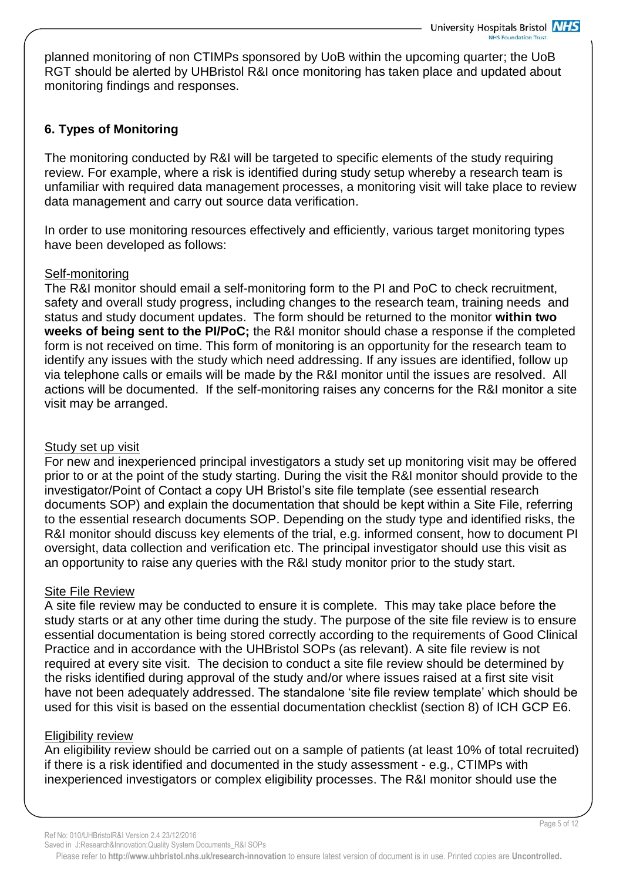planned monitoring of non CTIMPs sponsored by UoB within the upcoming quarter; the UoB RGT should be alerted by UHBristol R&I once monitoring has taken place and updated about monitoring findings and responses.

# **6. Types of Monitoring**

The monitoring conducted by R&I will be targeted to specific elements of the study requiring review. For example, where a risk is identified during study setup whereby a research team is unfamiliar with required data management processes, a monitoring visit will take place to review data management and carry out source data verification.

In order to use monitoring resources effectively and efficiently, various target monitoring types have been developed as follows:

## Self-monitoring

The R&I monitor should email a self-monitoring form to the PI and PoC to check recruitment, safety and overall study progress, including changes to the research team, training needs and status and study document updates. The form should be returned to the monitor **within two weeks of being sent to the PI/PoC;** the R&I monitor should chase a response if the completed form is not received on time. This form of monitoring is an opportunity for the research team to identify any issues with the study which need addressing. If any issues are identified, follow up via telephone calls or emails will be made by the R&I monitor until the issues are resolved. All actions will be documented. If the self-monitoring raises any concerns for the R&I monitor a site visit may be arranged.

## Study set up visit

For new and inexperienced principal investigators a study set up monitoring visit may be offered prior to or at the point of the study starting. During the visit the R&I monitor should provide to the investigator/Point of Contact a copy UH Bristol's site file template (see essential research documents SOP) and explain the documentation that should be kept within a Site File, referring to the essential research documents SOP. Depending on the study type and identified risks, the R&I monitor should discuss key elements of the trial, e.g. informed consent, how to document PI oversight, data collection and verification etc. The principal investigator should use this visit as an opportunity to raise any queries with the R&I study monitor prior to the study start.

## Site File Review

A site file review may be conducted to ensure it is complete. This may take place before the study starts or at any other time during the study. The purpose of the site file review is to ensure essential documentation is being stored correctly according to the requirements of Good Clinical Practice and in accordance with the UHBristol SOPs (as relevant). A site file review is not required at every site visit. The decision to conduct a site file review should be determined by the risks identified during approval of the study and/or where issues raised at a first site visit have not been adequately addressed. The standalone 'site file review template' which should be used for this visit is based on the essential documentation checklist (section 8) of ICH GCP E6.

## Eligibility review

An eligibility review should be carried out on a sample of patients (at least 10% of total recruited) if there is a risk identified and documented in the study assessment - e.g., CTIMPs with inexperienced investigators or complex eligibility processes. The R&I monitor should use the

Ref No: 010/UHBristolR&I Version 2.4 23/12/2016

Saved in J:Research&Innovation:Quality System Documents\_R&I SOPs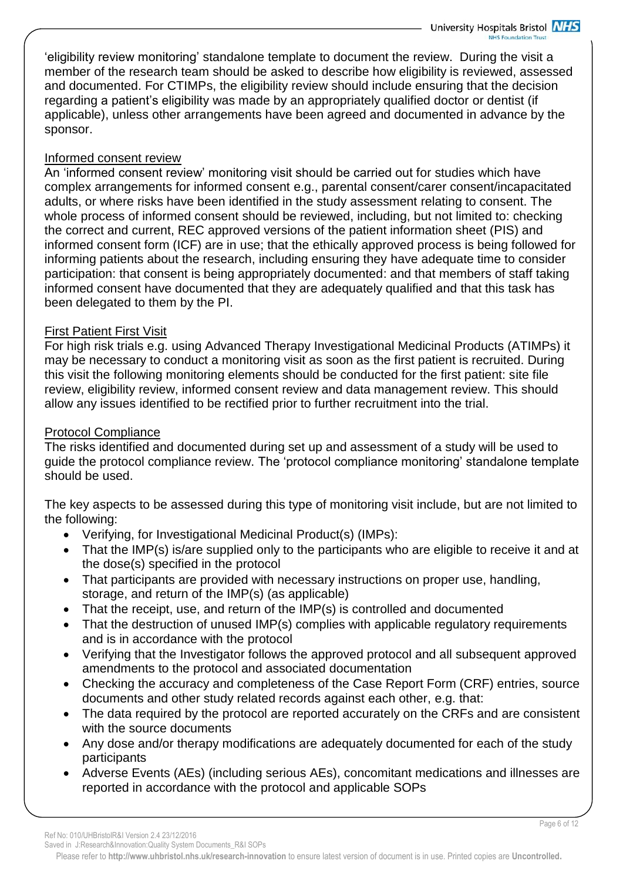'eligibility review monitoring' standalone template to document the review. During the visit a member of the research team should be asked to describe how eligibility is reviewed, assessed and documented. For CTIMPs, the eligibility review should include ensuring that the decision regarding a patient's eligibility was made by an appropriately qualified doctor or dentist (if applicable), unless other arrangements have been agreed and documented in advance by the sponsor.

## Informed consent review

An 'informed consent review' monitoring visit should be carried out for studies which have complex arrangements for informed consent e.g., parental consent/carer consent/incapacitated adults, or where risks have been identified in the study assessment relating to consent. The whole process of informed consent should be reviewed, including, but not limited to: checking the correct and current, REC approved versions of the patient information sheet (PIS) and informed consent form (ICF) are in use; that the ethically approved process is being followed for informing patients about the research, including ensuring they have adequate time to consider participation: that consent is being appropriately documented: and that members of staff taking informed consent have documented that they are adequately qualified and that this task has been delegated to them by the PI.

## First Patient First Visit

For high risk trials e.g. using Advanced Therapy Investigational Medicinal Products (ATIMPs) it may be necessary to conduct a monitoring visit as soon as the first patient is recruited. During this visit the following monitoring elements should be conducted for the first patient: site file review, eligibility review, informed consent review and data management review. This should allow any issues identified to be rectified prior to further recruitment into the trial.

## Protocol Compliance

The risks identified and documented during set up and assessment of a study will be used to guide the protocol compliance review. The 'protocol compliance monitoring' standalone template should be used.

The key aspects to be assessed during this type of monitoring visit include, but are not limited to the following:

- Verifying, for Investigational Medicinal Product(s) (IMPs):
- That the IMP(s) is/are supplied only to the participants who are eligible to receive it and at the dose(s) specified in the protocol
- That participants are provided with necessary instructions on proper use, handling, storage, and return of the IMP(s) (as applicable)
- That the receipt, use, and return of the IMP(s) is controlled and documented
- That the destruction of unused IMP(s) complies with applicable regulatory requirements and is in accordance with the protocol
- Verifying that the Investigator follows the approved protocol and all subsequent approved amendments to the protocol and associated documentation
- Checking the accuracy and completeness of the Case Report Form (CRF) entries, source documents and other study related records against each other, e.g. that:
- The data required by the protocol are reported accurately on the CRFs and are consistent with the source documents
- Any dose and/or therapy modifications are adequately documented for each of the study participants
- Adverse Events (AEs) (including serious AEs), concomitant medications and illnesses are reported in accordance with the protocol and applicable SOPs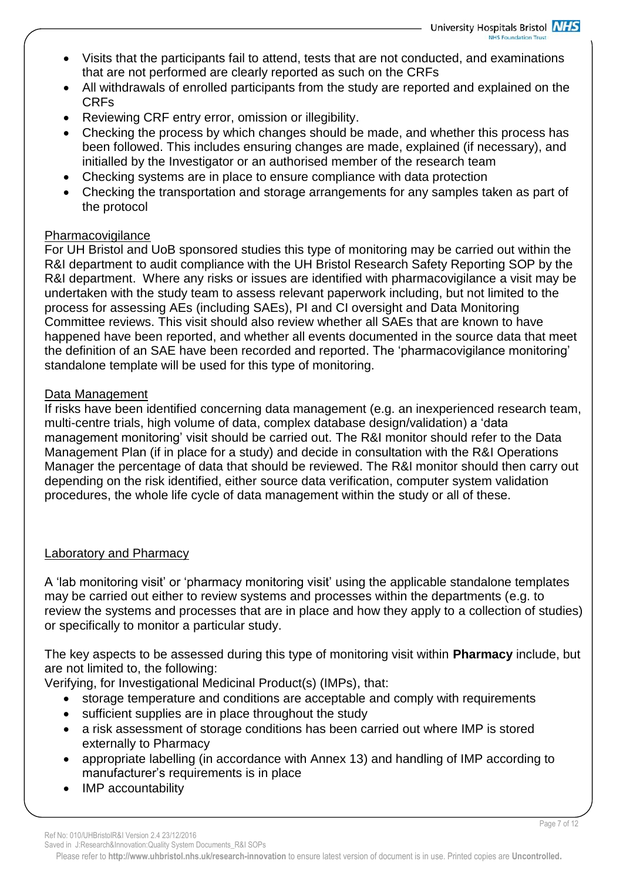- Visits that the participants fail to attend, tests that are not conducted, and examinations that are not performed are clearly reported as such on the CRFs
- All withdrawals of enrolled participants from the study are reported and explained on the CRFs
- Reviewing CRF entry error, omission or illegibility.
- Checking the process by which changes should be made, and whether this process has been followed. This includes ensuring changes are made, explained (if necessary), and initialled by the Investigator or an authorised member of the research team
- Checking systems are in place to ensure compliance with data protection
- Checking the transportation and storage arrangements for any samples taken as part of the protocol

## **Pharmacovigilance**

For UH Bristol and UoB sponsored studies this type of monitoring may be carried out within the R&I department to audit compliance with the UH Bristol Research Safety Reporting SOP by the R&I department. Where any risks or issues are identified with pharmacovigilance a visit may be undertaken with the study team to assess relevant paperwork including, but not limited to the process for assessing AEs (including SAEs), PI and CI oversight and Data Monitoring Committee reviews. This visit should also review whether all SAEs that are known to have happened have been reported, and whether all events documented in the source data that meet the definition of an SAE have been recorded and reported. The 'pharmacovigilance monitoring' standalone template will be used for this type of monitoring.

## Data Management

If risks have been identified concerning data management (e.g. an inexperienced research team, multi-centre trials, high volume of data, complex database design/validation) a 'data management monitoring' visit should be carried out. The R&I monitor should refer to the Data Management Plan (if in place for a study) and decide in consultation with the R&I Operations Manager the percentage of data that should be reviewed. The R&I monitor should then carry out depending on the risk identified, either source data verification, computer system validation procedures, the whole life cycle of data management within the study or all of these.

## Laboratory and Pharmacy

A 'lab monitoring visit' or 'pharmacy monitoring visit' using the applicable standalone templates may be carried out either to review systems and processes within the departments (e.g. to review the systems and processes that are in place and how they apply to a collection of studies) or specifically to monitor a particular study.

The key aspects to be assessed during this type of monitoring visit within **Pharmacy** include, but are not limited to, the following:

Verifying, for Investigational Medicinal Product(s) (IMPs), that:

- storage temperature and conditions are acceptable and comply with requirements
- sufficient supplies are in place throughout the study
- a risk assessment of storage conditions has been carried out where IMP is stored externally to Pharmacy
- appropriate labelling (in accordance with Annex 13) and handling of IMP according to manufacturer's requirements is in place
- IMP accountability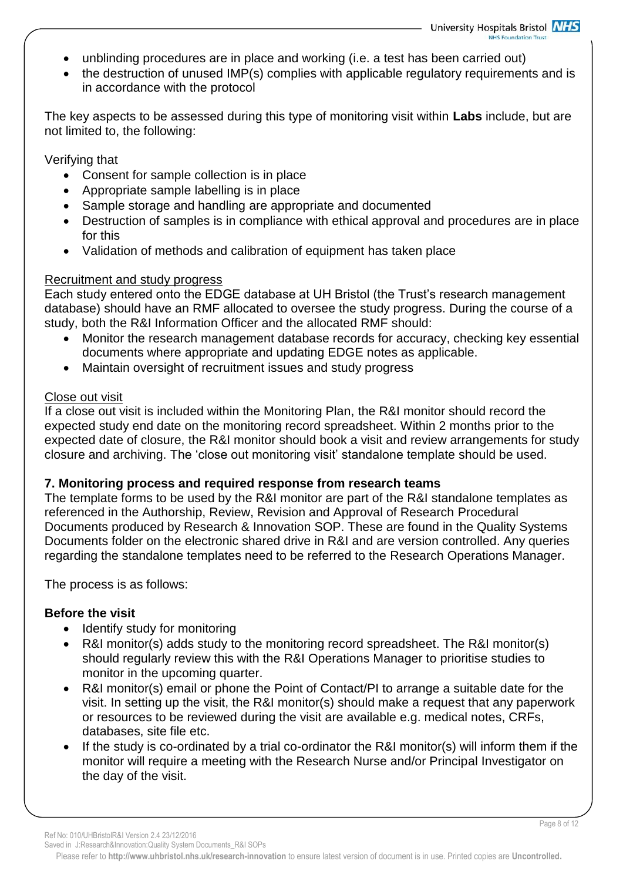- unblinding procedures are in place and working (i.e. a test has been carried out)
- the destruction of unused IMP(s) complies with applicable regulatory requirements and is in accordance with the protocol

The key aspects to be assessed during this type of monitoring visit within **Labs** include, but are not limited to, the following:

Verifying that

- Consent for sample collection is in place
- Appropriate sample labelling is in place
- Sample storage and handling are appropriate and documented
- Destruction of samples is in compliance with ethical approval and procedures are in place for this
- Validation of methods and calibration of equipment has taken place

## Recruitment and study progress

Each study entered onto the EDGE database at UH Bristol (the Trust's research management database) should have an RMF allocated to oversee the study progress. During the course of a study, both the R&I Information Officer and the allocated RMF should:

- Monitor the research management database records for accuracy, checking key essential documents where appropriate and updating EDGE notes as applicable.
- Maintain oversight of recruitment issues and study progress

## Close out visit

If a close out visit is included within the Monitoring Plan, the R&I monitor should record the expected study end date on the monitoring record spreadsheet. Within 2 months prior to the expected date of closure, the R&I monitor should book a visit and review arrangements for study closure and archiving. The 'close out monitoring visit' standalone template should be used.

## **7. Monitoring process and required response from research teams**

The template forms to be used by the R&I monitor are part of the R&I standalone templates as referenced in the Authorship, Review, Revision and Approval of Research Procedural Documents produced by Research & Innovation SOP. These are found in the Quality Systems Documents folder on the electronic shared drive in R&I and are version controlled. Any queries regarding the standalone templates need to be referred to the Research Operations Manager.

The process is as follows:

## **Before the visit**

- Identify study for monitoring
- R&I monitor(s) adds study to the monitoring record spreadsheet. The R&I monitor(s) should regularly review this with the R&I Operations Manager to prioritise studies to monitor in the upcoming quarter.
- R&I monitor(s) email or phone the Point of Contact/PI to arrange a suitable date for the visit. In setting up the visit, the R&I monitor(s) should make a request that any paperwork or resources to be reviewed during the visit are available e.g. medical notes, CRFs, databases, site file etc.
- If the study is co-ordinated by a trial co-ordinator the R&I monitor(s) will inform them if the monitor will require a meeting with the Research Nurse and/or Principal Investigator on the day of the visit.

Saved in J:Research&Innovation:Quality System Documents\_R&I SOPs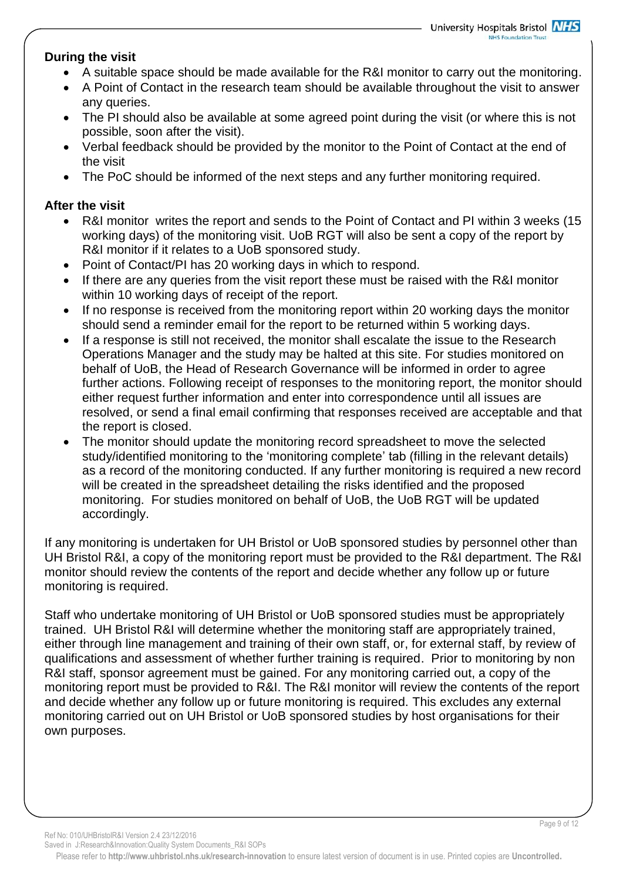## **During the visit**

- A suitable space should be made available for the R&I monitor to carry out the monitoring.
- A Point of Contact in the research team should be available throughout the visit to answer any queries.
- The PI should also be available at some agreed point during the visit (or where this is not possible, soon after the visit).
- Verbal feedback should be provided by the monitor to the Point of Contact at the end of the visit
- The PoC should be informed of the next steps and any further monitoring required.

## **After the visit**

- R&I monitor writes the report and sends to the Point of Contact and PI within 3 weeks (15 working days) of the monitoring visit. UoB RGT will also be sent a copy of the report by R&I monitor if it relates to a UoB sponsored study.
- Point of Contact/PI has 20 working days in which to respond.
- If there are any queries from the visit report these must be raised with the R&I monitor within 10 working days of receipt of the report.
- If no response is received from the monitoring report within 20 working days the monitor should send a reminder email for the report to be returned within 5 working days.
- If a response is still not received, the monitor shall escalate the issue to the Research Operations Manager and the study may be halted at this site. For studies monitored on behalf of UoB, the Head of Research Governance will be informed in order to agree further actions. Following receipt of responses to the monitoring report, the monitor should either request further information and enter into correspondence until all issues are resolved, or send a final email confirming that responses received are acceptable and that the report is closed.
- The monitor should update the monitoring record spreadsheet to move the selected study/identified monitoring to the 'monitoring complete' tab (filling in the relevant details) as a record of the monitoring conducted. If any further monitoring is required a new record will be created in the spreadsheet detailing the risks identified and the proposed monitoring. For studies monitored on behalf of UoB, the UoB RGT will be updated accordingly.

If any monitoring is undertaken for UH Bristol or UoB sponsored studies by personnel other than UH Bristol R&I, a copy of the monitoring report must be provided to the R&I department. The R&I monitor should review the contents of the report and decide whether any follow up or future monitoring is required.

Staff who undertake monitoring of UH Bristol or UoB sponsored studies must be appropriately trained. UH Bristol R&I will determine whether the monitoring staff are appropriately trained, either through line management and training of their own staff, or, for external staff, by review of qualifications and assessment of whether further training is required. Prior to monitoring by non R&I staff, sponsor agreement must be gained. For any monitoring carried out, a copy of the monitoring report must be provided to R&I. The R&I monitor will review the contents of the report and decide whether any follow up or future monitoring is required. This excludes any external monitoring carried out on UH Bristol or UoB sponsored studies by host organisations for their own purposes.

Ref No: 010/UHBristolR&I Version 2.4 23/12/2016

Saved in J:Research&Innovation:Quality System Documents\_R&I SOPs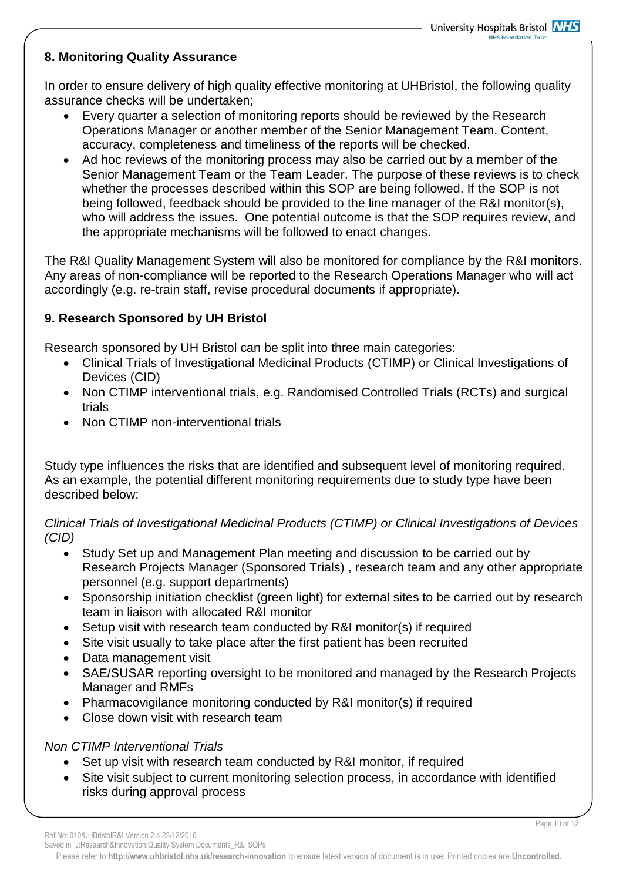## **8. Monitoring Quality Assurance**

In order to ensure delivery of high quality effective monitoring at UHBristol, the following quality assurance checks will be undertaken;

- Every quarter a selection of monitoring reports should be reviewed by the Research Operations Manager or another member of the Senior Management Team. Content, accuracy, completeness and timeliness of the reports will be checked.
- Ad hoc reviews of the monitoring process may also be carried out by a member of the Senior Management Team or the Team Leader. The purpose of these reviews is to check whether the processes described within this SOP are being followed. If the SOP is not being followed, feedback should be provided to the line manager of the R&I monitor(s), who will address the issues. One potential outcome is that the SOP requires review, and the appropriate mechanisms will be followed to enact changes.

The R&I Quality Management System will also be monitored for compliance by the R&I monitors. Any areas of non-compliance will be reported to the Research Operations Manager who will act accordingly (e.g. re-train staff, revise procedural documents if appropriate).

# **9. Research Sponsored by UH Bristol**

Research sponsored by UH Bristol can be split into three main categories:

- Clinical Trials of Investigational Medicinal Products (CTIMP) or Clinical Investigations of Devices (CID)
- Non CTIMP interventional trials, e.g. Randomised Controlled Trials (RCTs) and surgical trials
- Non CTIMP non-interventional trials

Study type influences the risks that are identified and subsequent level of monitoring required. As an example, the potential different monitoring requirements due to study type have been described below:

*Clinical Trials of Investigational Medicinal Products (CTIMP) or Clinical Investigations of Devices (CID)*

- Study Set up and Management Plan meeting and discussion to be carried out by Research Projects Manager (Sponsored Trials) , research team and any other appropriate personnel (e.g. support departments)
- Sponsorship initiation checklist (green light) for external sites to be carried out by research team in liaison with allocated R&I monitor
- Setup visit with research team conducted by R&I monitor(s) if required
- Site visit usually to take place after the first patient has been recruited
- Data management visit
- SAE/SUSAR reporting oversight to be monitored and managed by the Research Projects Manager and RMFs
- Pharmacovigilance monitoring conducted by R&I monitor(s) if required
- Close down visit with research team

# *Non CTIMP Interventional Trials*

- Set up visit with research team conducted by R&I monitor, if required
- Site visit subject to current monitoring selection process, in accordance with identified risks during approval process

Saved in J:Research&Innovation:Quality System Documents\_R&I SOPs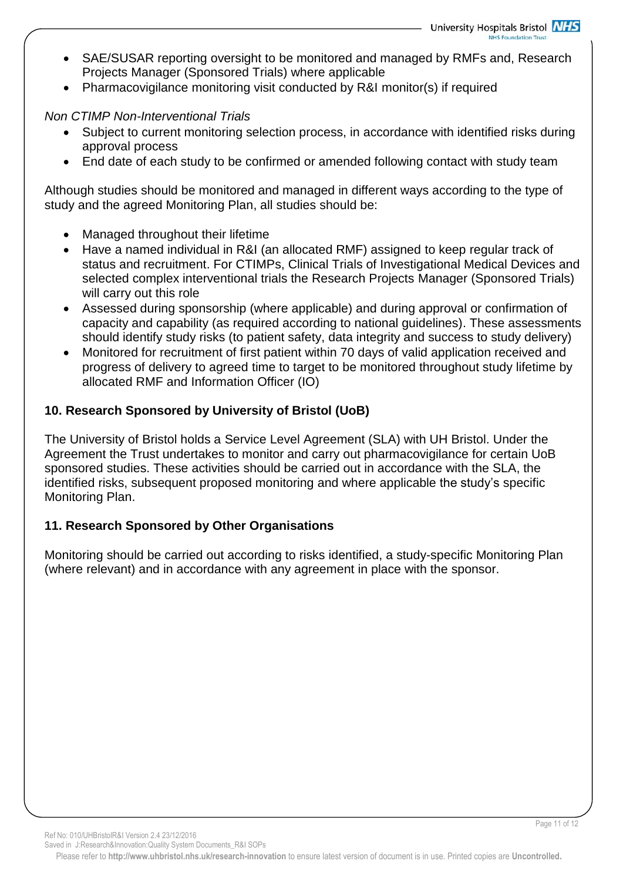- SAE/SUSAR reporting oversight to be monitored and managed by RMFs and, Research Projects Manager (Sponsored Trials) where applicable
- Pharmacovigilance monitoring visit conducted by R&I monitor(s) if required

## *Non CTIMP Non-Interventional Trials*

- Subject to current monitoring selection process, in accordance with identified risks during approval process
- End date of each study to be confirmed or amended following contact with study team

Although studies should be monitored and managed in different ways according to the type of study and the agreed Monitoring Plan, all studies should be:

- Managed throughout their lifetime
- Have a named individual in R&I (an allocated RMF) assigned to keep regular track of status and recruitment. For CTIMPs, Clinical Trials of Investigational Medical Devices and selected complex interventional trials the Research Projects Manager (Sponsored Trials) will carry out this role
- Assessed during sponsorship (where applicable) and during approval or confirmation of capacity and capability (as required according to national guidelines). These assessments should identify study risks (to patient safety, data integrity and success to study delivery)
- Monitored for recruitment of first patient within 70 days of valid application received and progress of delivery to agreed time to target to be monitored throughout study lifetime by allocated RMF and Information Officer (IO)

# **10. Research Sponsored by University of Bristol (UoB)**

The University of Bristol holds a Service Level Agreement (SLA) with UH Bristol. Under the Agreement the Trust undertakes to monitor and carry out pharmacovigilance for certain UoB sponsored studies. These activities should be carried out in accordance with the SLA, the identified risks, subsequent proposed monitoring and where applicable the study's specific Monitoring Plan.

# **11. Research Sponsored by Other Organisations**

Monitoring should be carried out according to risks identified, a study-specific Monitoring Plan (where relevant) and in accordance with any agreement in place with the sponsor.

Ref No: 010/UHBristolR&I Version 2.4 23/12/2016

Page 11 of 12

Saved in J:Research&Innovation:Quality System Documents\_R&I SOPs Please refer to **http://www.uhbristol.nhs.uk/research-innovation** to ensure latest version of document is in use. Printed copies are **Uncontrolled.**